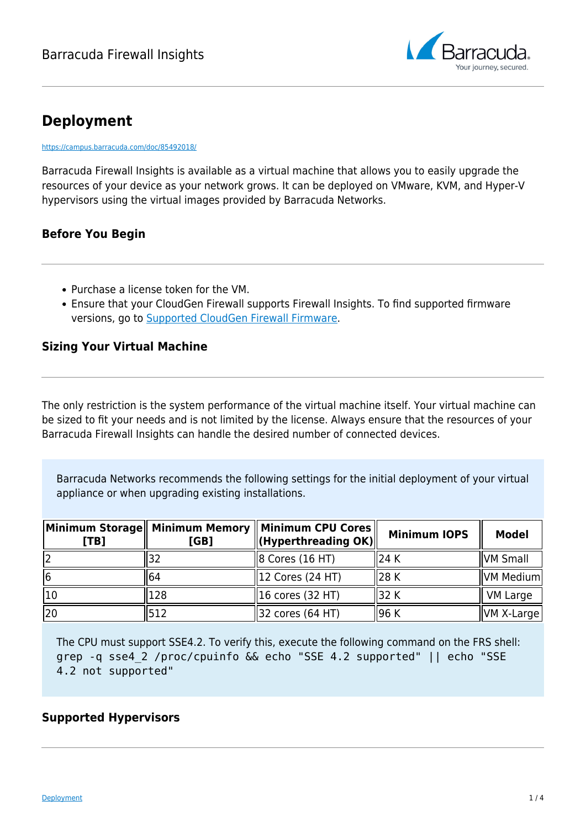

# **Deployment**

<https://campus.barracuda.com/doc/85492018/>

Barracuda Firewall Insights is available as a virtual machine that allows you to easily upgrade the resources of your device as your network grows. It can be deployed on VMware, KVM, and Hyper-V hypervisors using the virtual images provided by Barracuda Networks.

## **Before You Begin**

- Purchase a license token for the VM.
- Ensure that your CloudGen Firewall supports Firewall Insights. To find supported firmware versions, go to [Supported CloudGen Firewall Firmware.](http://campus.barracuda.com/doc/86540824/)

## **Sizing Your Virtual Machine**

The only restriction is the system performance of the virtual machine itself. Your virtual machine can be sized to fit your needs and is not limited by the license. Always ensure that the resources of your Barracuda Firewall Insights can handle the desired number of connected devices.

Barracuda Networks recommends the following settings for the initial deployment of your virtual appliance or when upgrading existing installations.

| [TB] | [GB] | Minimum Storage   Minimum Memory    Minimum CPU Cores<br>$\ $ (Hyperthreading OK) $\ $ | <b>Minimum IOPS</b> | <b>Model</b>   |
|------|------|----------------------------------------------------------------------------------------|---------------------|----------------|
|      |      | $\parallel$ 8 Cores (16 HT)                                                            | 1124 K              | VM Small       |
| 16   | 164  | 12 Cores (24 HT)                                                                       | ll28 K              | VM Medium      |
| 10   | 128  | $\parallel$ 16 cores (32 HT)                                                           | ll32 K              | VM Large       |
| 20   | 512  | 32 cores (64 HT)                                                                       | ll96 K              | $ VM X-Large $ |

The CPU must support SSE4.2. To verify this, execute the following command on the FRS shell: grep -q sse4\_2 /proc/cpuinfo && echo "SSE 4.2 supported" || echo "SSE 4.2 not supported"

### **Supported Hypervisors**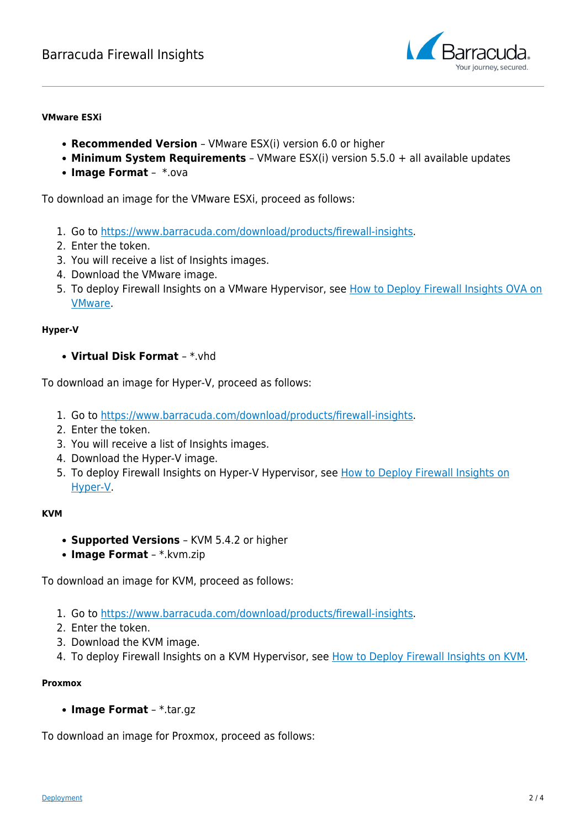

#### **VMware ESXi**

- **Recommended Version** VMware ESX(i) version 6.0 or higher
- **Minimum System Requirements** VMware ESX(i) version 5.5.0 + all available updates
- **Image Format** \*.ova

To download an image for the VMware ESXi, proceed as follows:

- 1. Go to [https://www.barracuda.com/download/products/firewall-insights.](https://www.barracuda.com/download/products/firewall-insights)
- 2. Enter the token.
- 3. You will receive a list of Insights images.
- 4. Download the VMware image.
- 5. To deploy Firewall Insights on a VMware Hypervisor, see [How to Deploy Firewall Insights OVA on](http://campus.barracuda.com/doc/86543849/) [VMware](http://campus.barracuda.com/doc/86543849/).

#### **Hyper-V**

**Virtual Disk Format** – \*.vhd

To download an image for Hyper-V, proceed as follows:

- 1. Go to [https://www.barracuda.com/download/products/firewall-insights.](https://www.barracuda.com/download/products/firewall-insights)
- 2. Enter the token.
- 3. You will receive a list of Insights images.
- 4. Download the Hyper-V image.
- 5. To deploy Firewall Insights on Hyper-V Hypervisor, see [How to Deploy Firewall Insights on](http://campus.barracuda.com/doc/86543851/) [Hyper-V.](http://campus.barracuda.com/doc/86543851/)

### **KVM**

- **Supported Versions** KVM 5.4.2 or higher
- **Image Format** \*.kvm.zip

To download an image for KVM, proceed as follows:

- 1. Go to [https://www.barracuda.com/download/products/firewall-insights.](https://www.barracuda.com/download/products/firewall-insights)
- 2. Enter the token.
- 3. Download the KVM image.
- 4. To deploy Firewall Insights on a KVM Hypervisor, see [How to Deploy Firewall Insights on KVM.](http://campus.barracuda.com/doc/86541219/)

### **Proxmox**

**Image Format** – \*.tar.gz

To download an image for Proxmox, proceed as follows: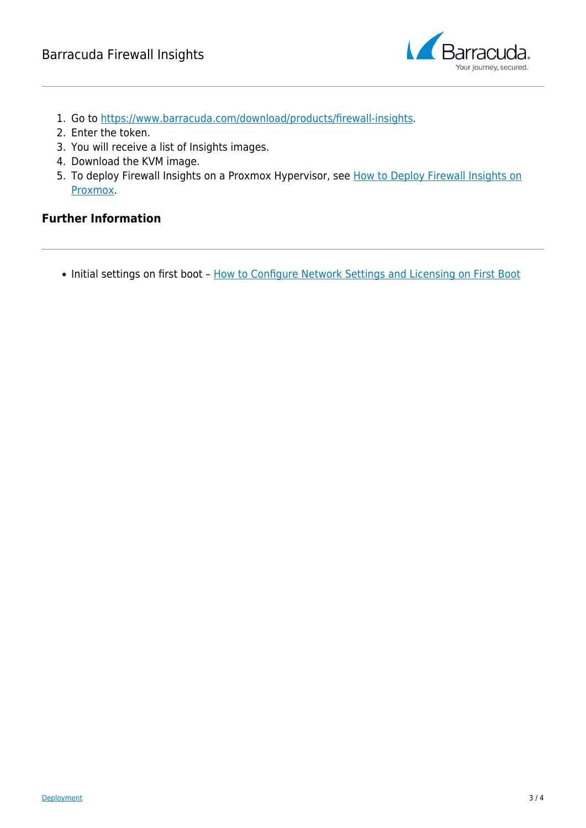

- 1. Go to [https://www.barracuda.com/download/products/firewall-insights.](https://www.barracuda.com/download/products/firewall-insights)
- 2. Enter the token.
- 3. You will receive a list of Insights images.
- 4. Download the KVM image.
- 5. To deploy Firewall Insights on a Proxmox Hypervisor, see [How to Deploy Firewall Insights on](http://campus.barracuda.com/doc/85494165/) [Proxmox.](http://campus.barracuda.com/doc/85494165/)

## **Further Information**

• Initial settings on first boot - [How to Configure Network Settings and Licensing on First Boot](http://campus.barracuda.com/doc/86543883/)